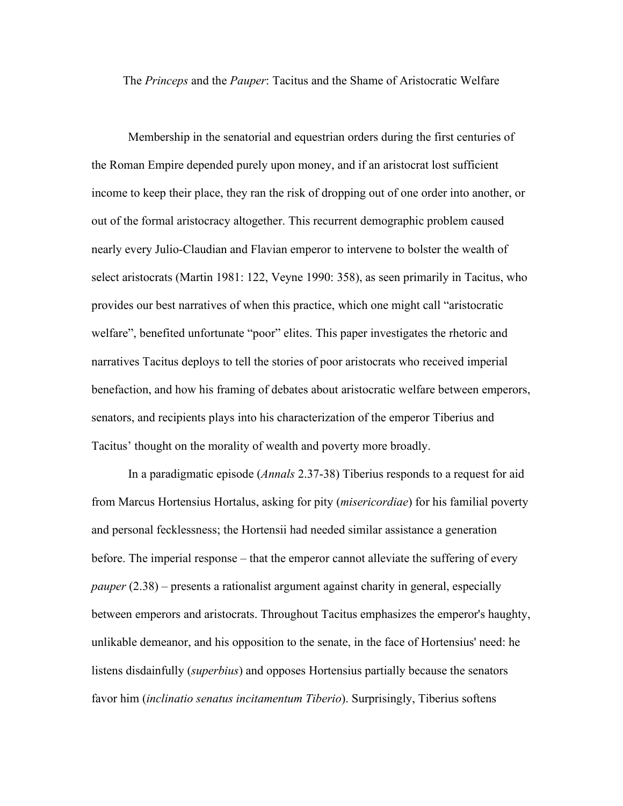The *Princeps* and the *Pauper*: Tacitus and the Shame of Aristocratic Welfare

Membership in the senatorial and equestrian orders during the first centuries of the Roman Empire depended purely upon money, and if an aristocrat lost sufficient income to keep their place, they ran the risk of dropping out of one order into another, or out of the formal aristocracy altogether. This recurrent demographic problem caused nearly every Julio-Claudian and Flavian emperor to intervene to bolster the wealth of select aristocrats (Martin 1981: 122, Veyne 1990: 358), as seen primarily in Tacitus, who provides our best narratives of when this practice, which one might call "aristocratic welfare", benefited unfortunate "poor" elites. This paper investigates the rhetoric and narratives Tacitus deploys to tell the stories of poor aristocrats who received imperial benefaction, and how his framing of debates about aristocratic welfare between emperors, senators, and recipients plays into his characterization of the emperor Tiberius and Tacitus' thought on the morality of wealth and poverty more broadly.

In a paradigmatic episode (*Annals* 2.37-38) Tiberius responds to a request for aid from Marcus Hortensius Hortalus, asking for pity (*misericordiae*) for his familial poverty and personal fecklessness; the Hortensii had needed similar assistance a generation before. The imperial response – that the emperor cannot alleviate the suffering of every *pauper* (2.38) – presents a rationalist argument against charity in general, especially between emperors and aristocrats. Throughout Tacitus emphasizes the emperor's haughty, unlikable demeanor, and his opposition to the senate, in the face of Hortensius' need: he listens disdainfully (*superbius*) and opposes Hortensius partially because the senators favor him (*inclinatio senatus incitamentum Tiberio*). Surprisingly, Tiberius softens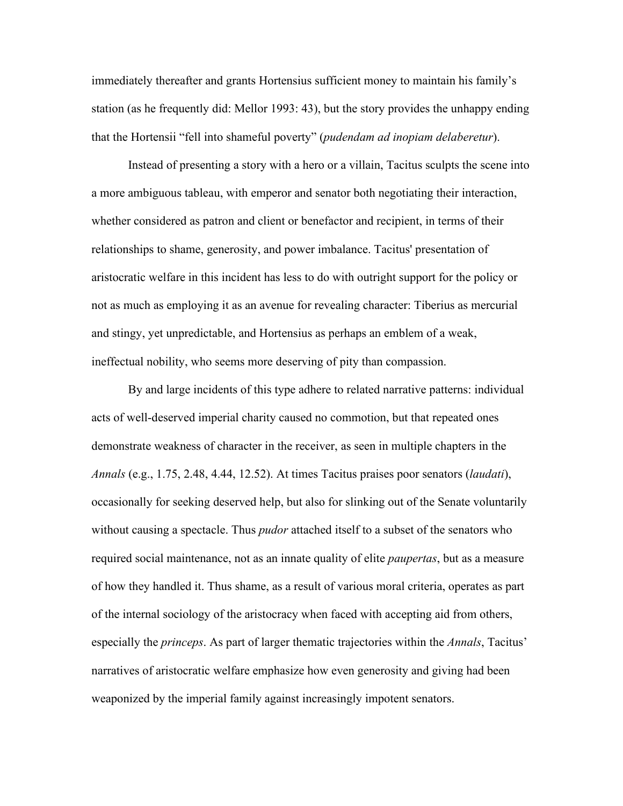immediately thereafter and grants Hortensius sufficient money to maintain his family's station (as he frequently did: Mellor 1993: 43), but the story provides the unhappy ending that the Hortensii "fell into shameful poverty" (*pudendam ad inopiam delaberetur*).

Instead of presenting a story with a hero or a villain, Tacitus sculpts the scene into a more ambiguous tableau, with emperor and senator both negotiating their interaction, whether considered as patron and client or benefactor and recipient, in terms of their relationships to shame, generosity, and power imbalance. Tacitus' presentation of aristocratic welfare in this incident has less to do with outright support for the policy or not as much as employing it as an avenue for revealing character: Tiberius as mercurial and stingy, yet unpredictable, and Hortensius as perhaps an emblem of a weak, ineffectual nobility, who seems more deserving of pity than compassion.

By and large incidents of this type adhere to related narrative patterns: individual acts of well-deserved imperial charity caused no commotion, but that repeated ones demonstrate weakness of character in the receiver, as seen in multiple chapters in the *Annals* (e.g., 1.75, 2.48, 4.44, 12.52). At times Tacitus praises poor senators (*laudati*), occasionally for seeking deserved help, but also for slinking out of the Senate voluntarily without causing a spectacle. Thus *pudor* attached itself to a subset of the senators who required social maintenance, not as an innate quality of elite *paupertas*, but as a measure of how they handled it. Thus shame, as a result of various moral criteria, operates as part of the internal sociology of the aristocracy when faced with accepting aid from others, especially the *princeps*. As part of larger thematic trajectories within the *Annals*, Tacitus' narratives of aristocratic welfare emphasize how even generosity and giving had been weaponized by the imperial family against increasingly impotent senators.